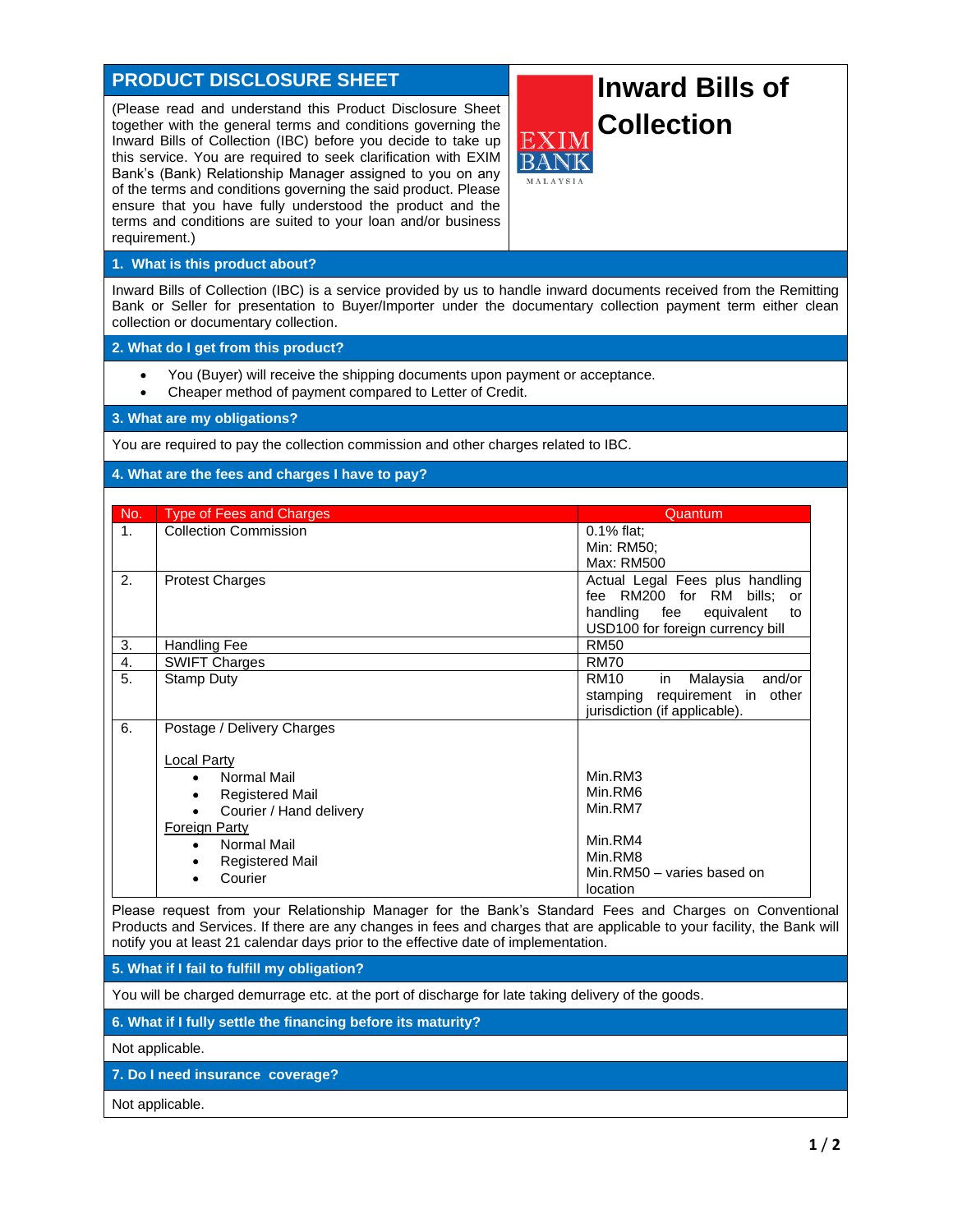## **PRODUCT DISCLOSURE SHEET**

(Please read and understand this Product Disclosure Sheet together with the general terms and conditions governing the Inward Bills of Collection (IBC) before you decide to take up this service. You are required to seek clarification with EXIM Bank's (Bank) Relationship Manager assigned to you on any of the terms and conditions governing the said product. Please ensure that you have fully understood the product and the terms and conditions are suited to your loan and/or business requirement.)

## **Inward Bills of Collection**

## **1. What is this product about?**

Inward Bills of Collection (IBC) is a service provided by us to handle inward documents received from the Remitting Bank or Seller for presentation to Buyer/Importer under the documentary collection payment term either clean collection or documentary collection.

## **2. What do I get from this product?**

- You (Buyer) will receive the shipping documents upon payment or acceptance.
- Cheaper method of payment compared to Letter of Credit.

**3. What are my obligations?**

You are required to pay the collection commission and other charges related to IBC.

**4. What are the fees and charges I have to pay?**

| No.            | <b>Type of Fees and Charges</b>      | Quantum                                 |
|----------------|--------------------------------------|-----------------------------------------|
| 1 <sub>1</sub> | <b>Collection Commission</b>         | $0.1\%$ flat;                           |
|                |                                      | Min: RM50;                              |
|                |                                      | Max: RM500                              |
| 2.             | <b>Protest Charges</b>               | Actual Legal Fees plus handling         |
|                |                                      | fee RM200 for RM<br>bills;<br>or        |
|                |                                      | handling fee<br>equivalent<br>to        |
|                |                                      | USD100 for foreign currency bill        |
| 3.             | <b>Handling Fee</b>                  | <b>RM50</b>                             |
| 4.             | <b>SWIFT Charges</b>                 | <b>RM70</b>                             |
| 5.             | Stamp Duty                           | <b>RM10</b><br>Malaysia<br>and/or<br>in |
|                |                                      | requirement in<br>other<br>stamping     |
|                |                                      | jurisdiction (if applicable).           |
| 6.             | Postage / Delivery Charges           |                                         |
|                |                                      |                                         |
|                | <b>Local Party</b>                   |                                         |
|                | Normal Mail<br>$\bullet$             | Min.RM3                                 |
|                | <b>Registered Mail</b><br>$\bullet$  | Min.RM6                                 |
|                | Courier / Hand delivery<br>$\bullet$ | Min.RM7                                 |
|                | <b>Foreign Party</b>                 |                                         |
|                | Normal Mail<br>$\bullet$             | Min.RM4                                 |
|                | <b>Registered Mail</b><br>٠          | Min.RM8                                 |
|                | Courier                              | Min.RM50 - varies based on              |
|                |                                      | location                                |

Please request from your Relationship Manager for the Bank's Standard Fees and Charges on Conventional Products and Services. If there are any changes in fees and charges that are applicable to your facility, the Bank will notify you at least 21 calendar days prior to the effective date of implementation.

**5. What if I fail to fulfill my obligation?**

You will be charged demurrage etc. at the port of discharge for late taking delivery of the goods.

**6. What if I fully settle the financing before its maturity?**

Not applicable.

**7. Do I need insurance coverage?**

Not applicable.